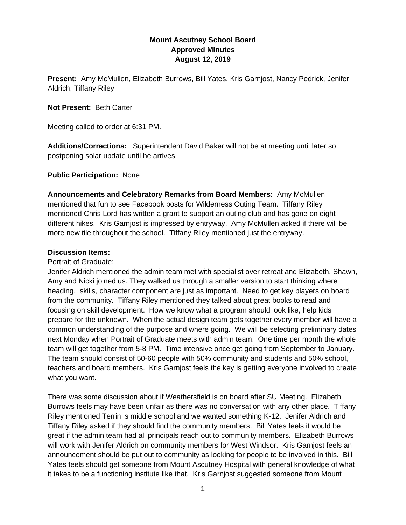# **Mount Ascutney School Board Approved Minutes August 12, 2019**

**Present:** Amy McMullen, Elizabeth Burrows, Bill Yates, Kris Garnjost, Nancy Pedrick, Jenifer Aldrich, Tiffany Riley

### **Not Present:** Beth Carter

Meeting called to order at 6:31 PM.

**Additions/Corrections:** Superintendent David Baker will not be at meeting until later so postponing solar update until he arrives.

#### **Public Participation:** None

**Announcements and Celebratory Remarks from Board Members:** Amy McMullen mentioned that fun to see Facebook posts for Wilderness Outing Team. Tiffany Riley mentioned Chris Lord has written a grant to support an outing club and has gone on eight different hikes. Kris Garnjost is impressed by entryway. Amy McMullen asked if there will be more new tile throughout the school. Tiffany Riley mentioned just the entryway.

#### **Discussion Items:**

#### Portrait of Graduate:

Jenifer Aldrich mentioned the admin team met with specialist over retreat and Elizabeth, Shawn, Amy and Nicki joined us. They walked us through a smaller version to start thinking where heading. skills, character component are just as important. Need to get key players on board from the community. Tiffany Riley mentioned they talked about great books to read and focusing on skill development. How we know what a program should look like, help kids prepare for the unknown. When the actual design team gets together every member will have a common understanding of the purpose and where going. We will be selecting preliminary dates next Monday when Portrait of Graduate meets with admin team. One time per month the whole team will get together from 5-8 PM. Time intensive once get going from September to January. The team should consist of 50-60 people with 50% community and students and 50% school, teachers and board members. Kris Garnjost feels the key is getting everyone involved to create what you want.

There was some discussion about if Weathersfield is on board after SU Meeting. Elizabeth Burrows feels may have been unfair as there was no conversation with any other place. Tiffany Riley mentioned Terrin is middle school and we wanted something K-12. Jenifer Aldrich and Tiffany Riley asked if they should find the community members. Bill Yates feels it would be great if the admin team had all principals reach out to community members. Elizabeth Burrows will work with Jenifer Aldrich on community members for West Windsor. Kris Garnjost feels an announcement should be put out to community as looking for people to be involved in this. Bill Yates feels should get someone from Mount Ascutney Hospital with general knowledge of what it takes to be a functioning institute like that. Kris Garnjost suggested someone from Mount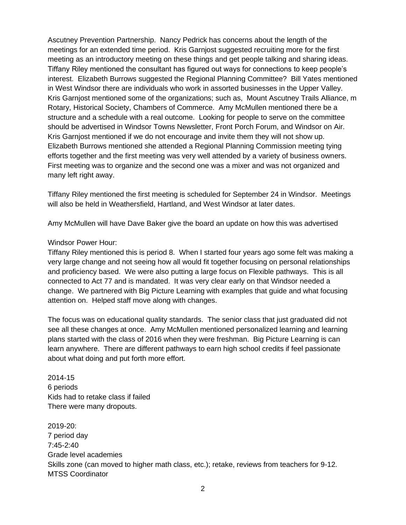Ascutney Prevention Partnership. Nancy Pedrick has concerns about the length of the meetings for an extended time period. Kris Garnjost suggested recruiting more for the first meeting as an introductory meeting on these things and get people talking and sharing ideas. Tiffany Riley mentioned the consultant has figured out ways for connections to keep people's interest. Elizabeth Burrows suggested the Regional Planning Committee? Bill Yates mentioned in West Windsor there are individuals who work in assorted businesses in the Upper Valley. Kris Garnjost mentioned some of the organizations; such as, Mount Ascutney Trails Alliance, m Rotary, Historical Society, Chambers of Commerce. Amy McMullen mentioned there be a structure and a schedule with a real outcome. Looking for people to serve on the committee should be advertised in Windsor Towns Newsletter, Front Porch Forum, and Windsor on Air. Kris Garnjost mentioned if we do not encourage and invite them they will not show up. Elizabeth Burrows mentioned she attended a Regional Planning Commission meeting tying efforts together and the first meeting was very well attended by a variety of business owners. First meeting was to organize and the second one was a mixer and was not organized and many left right away.

Tiffany Riley mentioned the first meeting is scheduled for September 24 in Windsor. Meetings will also be held in Weathersfield, Hartland, and West Windsor at later dates.

Amy McMullen will have Dave Baker give the board an update on how this was advertised

# Windsor Power Hour:

Tiffany Riley mentioned this is period 8. When I started four years ago some felt was making a very large change and not seeing how all would fit together focusing on personal relationships and proficiency based. We were also putting a large focus on Flexible pathways. This is all connected to Act 77 and is mandated. It was very clear early on that Windsor needed a change. We partnered with Big Picture Learning with examples that guide and what focusing attention on. Helped staff move along with changes.

The focus was on educational quality standards. The senior class that just graduated did not see all these changes at once. Amy McMullen mentioned personalized learning and learning plans started with the class of 2016 when they were freshman. Big Picture Learning is can learn anywhere. There are different pathways to earn high school credits if feel passionate about what doing and put forth more effort.

2014-15 6 periods Kids had to retake class if failed There were many dropouts.

2019-20: 7 period day  $7.45 - 2.40$ Grade level academies Skills zone (can moved to higher math class, etc.); retake, reviews from teachers for 9-12. MTSS Coordinator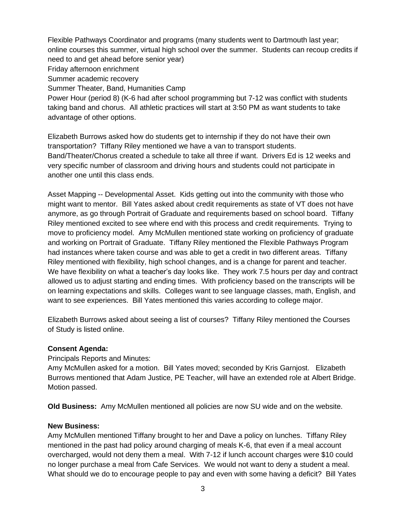Flexible Pathways Coordinator and programs (many students went to Dartmouth last year; online courses this summer, virtual high school over the summer. Students can recoup credits if need to and get ahead before senior year) Friday afternoon enrichment Summer academic recovery Summer Theater, Band, Humanities Camp Power Hour (period 8) (K-6 had after school programming but 7-12 was conflict with students taking band and chorus. All athletic practices will start at 3:50 PM as want students to take advantage of other options.

Elizabeth Burrows asked how do students get to internship if they do not have their own transportation? Tiffany Riley mentioned we have a van to transport students. Band/Theater/Chorus created a schedule to take all three if want. Drivers Ed is 12 weeks and very specific number of classroom and driving hours and students could not participate in another one until this class ends.

Asset Mapping -- Developmental Asset. Kids getting out into the community with those who might want to mentor. Bill Yates asked about credit requirements as state of VT does not have anymore, as go through Portrait of Graduate and requirements based on school board. Tiffany Riley mentioned excited to see where end with this process and credit requirements. Trying to move to proficiency model. Amy McMullen mentioned state working on proficiency of graduate and working on Portrait of Graduate. Tiffany Riley mentioned the Flexible Pathways Program had instances where taken course and was able to get a credit in two different areas. Tiffany Riley mentioned with flexibility, high school changes, and is a change for parent and teacher. We have flexibility on what a teacher's day looks like. They work 7.5 hours per day and contract allowed us to adjust starting and ending times. With proficiency based on the transcripts will be on learning expectations and skills. Colleges want to see language classes, math, English, and want to see experiences. Bill Yates mentioned this varies according to college major.

Elizabeth Burrows asked about seeing a list of courses? Tiffany Riley mentioned the Courses of Study is listed online.

# **Consent Agenda:**

Principals Reports and Minutes:

Amy McMullen asked for a motion. Bill Yates moved; seconded by Kris Garnjost. Elizabeth Burrows mentioned that Adam Justice, PE Teacher, will have an extended role at Albert Bridge. Motion passed.

**Old Business:** Amy McMullen mentioned all policies are now SU wide and on the website.

#### **New Business:**

Amy McMullen mentioned Tiffany brought to her and Dave a policy on lunches. Tiffany Riley mentioned in the past had policy around charging of meals K-6, that even if a meal account overcharged, would not deny them a meal. With 7-12 if lunch account charges were \$10 could no longer purchase a meal from Cafe Services. We would not want to deny a student a meal. What should we do to encourage people to pay and even with some having a deficit? Bill Yates